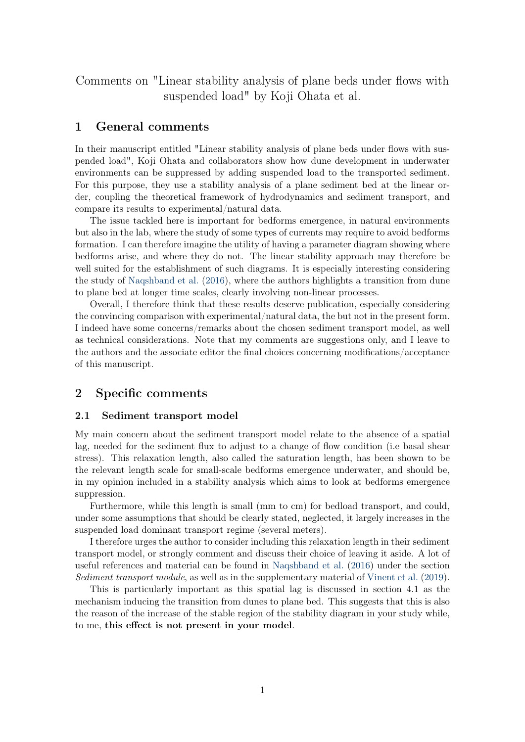<span id="page-0-0"></span>Comments on "Linear stability analysis of plane beds under flows with suspended load" by Koji Ohata et al.

## 1 General comments

In their manuscript entitled "Linear stability analysis of plane beds under flows with suspended load", Koji Ohata and collaborators show how dune development in underwater environments can be suppressed by adding suspended load to the transported sediment. For this purpose, they use a stability analysis of a plane sediment bed at the linear order, coupling the theoretical framework of hydrodynamics and sediment transport, and compare its results to experimental/natural data.

The issue tackled here is important for bedforms emergence, in natural environments but also in the lab, where the study of some types of currents may require to avoid bedforms formation. I can therefore imagine the utility of having a parameter diagram showing where bedforms arise, and where they do not. The linear stability approach may therefore be well suited for the establishment of such diagrams. It is especially interesting considering the study of [Naqshband et al.](#page-3-0) [\(2016\)](#page-3-0), where the authors highlights a transition from dune to plane bed at longer time scales, clearly involving non-linear processes.

Overall, I therefore think that these results deserve publication, especially considering the convincing comparison with experimental/natural data, the but not in the present form. I indeed have some concerns/remarks about the chosen sediment transport model, as well as technical considerations. Note that my comments are suggestions only, and I leave to the authors and the associate editor the final choices concerning modifications/acceptance of this manuscript.

## 2 Specific comments

#### 2.1 Sediment transport model

My main concern about the sediment transport model relate to the absence of a spatial lag, needed for the sediment flux to adjust to a change of flow condition (i.e basal shear stress). This relaxation length, also called the saturation length, has been shown to be the relevant length scale for small-scale bedforms emergence underwater, and should be, in my opinion included in a stability analysis which aims to look at bedforms emergence suppression.

Furthermore, while this length is small (mm to cm) for bedload transport, and could, under some assumptions that should be clearly stated, neglected, it largely increases in the suspended load dominant transport regime (several meters).

I therefore urges the author to consider including this relaxation length in their sediment transport model, or strongly comment and discuss their choice of leaving it aside. A lot of useful references and material can be found in [Naqshband et al.](#page-3-0) [\(2016\)](#page-3-0) under the section Sediment transport module, as well as in the supplementary material of [Vinent et al.](#page-3-1) [\(2019\)](#page-3-1).

This is particularly important as this spatial lag is discussed in section 4.1 as the mechanism inducing the transition from dunes to plane bed. This suggests that this is also the reason of the increase of the stable region of the stability diagram in your study while, to me, this effect is not present in your model.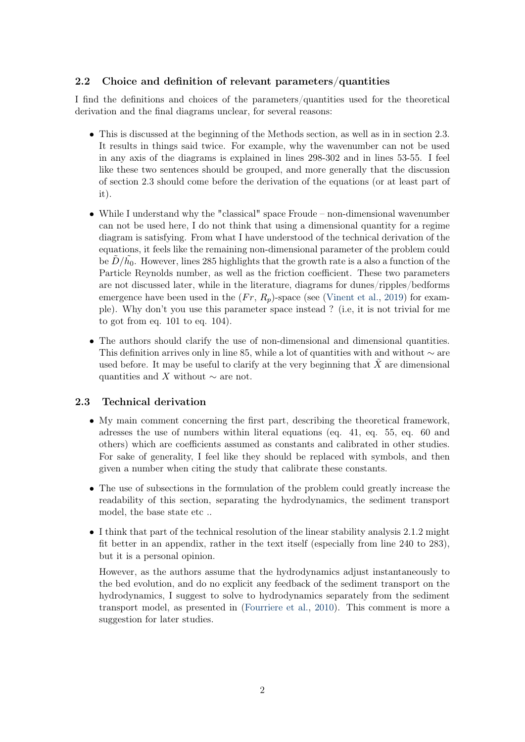### <span id="page-1-0"></span>2.2 Choice and definition of relevant parameters/quantities

I find the definitions and choices of the parameters/quantities used for the theoretical derivation and the final diagrams unclear, for several reasons:

- This is discussed at the beginning of the Methods section, as well as in in section 2.3. It results in things said twice. For example, why the wavenumber can not be used in any axis of the diagrams is explained in lines 298-302 and in lines 53-55. I feel like these two sentences should be grouped, and more generally that the discussion of section 2.3 should come before the derivation of the equations (or at least part of it).
- While I understand why the "classical" space Froude non-dimensional wavenumber can not be used here, I do not think that using a dimensional quantity for a regime diagram is satisfying. From what I have understood of the technical derivation of the equations, it feels like the remaining non-dimensional parameter of the problem could be  $\tilde{D}/\tilde{h_0}$ . However, lines 285 highlights that the growth rate is a also a function of the Particle Reynolds number, as well as the friction coefficient. These two parameters are not discussed later, while in the literature, diagrams for dunes/ripples/bedforms emergence have been used in the  $(Fr, R_p)$ -space (see [\(Vinent et al.,](#page-3-1) [2019\)](#page-3-1) for example). Why don't you use this parameter space instead ? (i.e, it is not trivial for me to got from eq. 101 to eq. 104).
- The authors should clarify the use of non-dimensional and dimensional quantities. This definition arrives only in line 85, while a lot of quantities with and without  $\sim$  are used before. It may be useful to clarify at the very beginning that  $\tilde{X}$  are dimensional quantities and X without  $\sim$  are not.

#### 2.3 Technical derivation

- My main comment concerning the first part, describing the theoretical framework, adresses the use of numbers within literal equations (eq. 41, eq. 55, eq. 60 and others) which are coefficients assumed as constants and calibrated in other studies. For sake of generality, I feel like they should be replaced with symbols, and then given a number when citing the study that calibrate these constants.
- The use of subsections in the formulation of the problem could greatly increase the readability of this section, separating the hydrodynamics, the sediment transport model, the base state etc ..
- I think that part of the technical resolution of the linear stability analysis 2.1.2 might fit better in an appendix, rather in the text itself (especially from line 240 to 283), but it is a personal opinion.

However, as the authors assume that the hydrodynamics adjust instantaneously to the bed evolution, and do no explicit any feedback of the sediment transport on the hydrodynamics, I suggest to solve to hydrodynamics separately from the sediment transport model, as presented in [\(Fourriere et al.,](#page-2-0) [2010\)](#page-2-0). This comment is more a suggestion for later studies.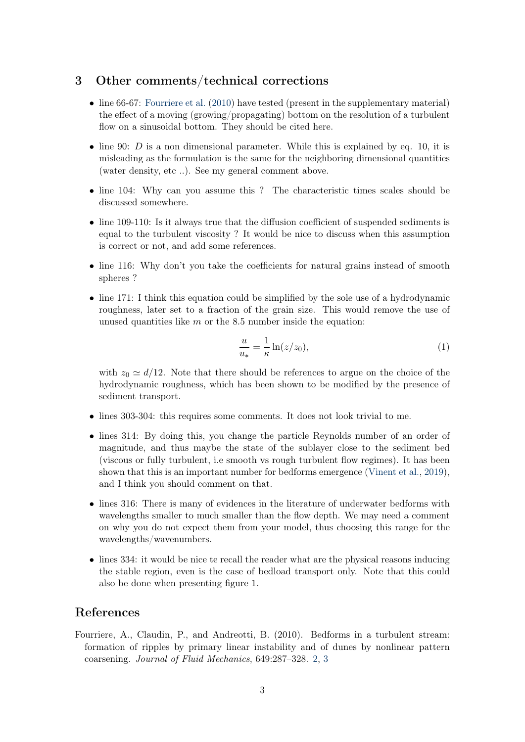# <span id="page-2-1"></span>3 Other comments/technical corrections

- line 66-67: [Fourriere et al.](#page-2-0) [\(2010\)](#page-2-0) have tested (present in the supplementary material) the effect of a moving (growing/propagating) bottom on the resolution of a turbulent flow on a sinusoidal bottom. They should be cited here.
- line 90:  $D$  is a non dimensional parameter. While this is explained by eq. 10, it is misleading as the formulation is the same for the neighboring dimensional quantities (water density, etc ..). See my general comment above.
- line 104: Why can you assume this ? The characteristic times scales should be discussed somewhere.
- line 109-110: Is it always true that the diffusion coefficient of suspended sediments is equal to the turbulent viscosity ? It would be nice to discuss when this assumption is correct or not, and add some references.
- line 116: Why don't you take the coefficients for natural grains instead of smooth spheres ?
- line 171: I think this equation could be simplified by the sole use of a hydrodynamic roughness, later set to a fraction of the grain size. This would remove the use of unused quantities like  $m$  or the 8.5 number inside the equation:

$$
\frac{u}{u_*} = \frac{1}{\kappa} \ln(z/z_0),\tag{1}
$$

with  $z_0 \simeq d/12$ . Note that there should be references to argue on the choice of the hydrodynamic roughness, which has been shown to be modified by the presence of sediment transport.

- lines 303-304: this requires some comments. It does not look trivial to me.
- lines 314: By doing this, you change the particle Reynolds number of an order of magnitude, and thus maybe the state of the sublayer close to the sediment bed (viscous or fully turbulent, i.e smooth vs rough turbulent flow regimes). It has been shown that this is an important number for bedforms emergence [\(Vinent et al.,](#page-3-1) [2019\)](#page-3-1), and I think you should comment on that.
- lines 316: There is many of evidences in the literature of underwater bedforms with wavelengths smaller to much smaller than the flow depth. We may need a comment on why you do not expect them from your model, thus choosing this range for the wavelengths/wavenumbers.
- lines 334: it would be nice te recall the reader what are the physical reasons inducing the stable region, even is the case of bedload transport only. Note that this could also be done when presenting figure 1.

# References

<span id="page-2-0"></span>Fourriere, A., Claudin, P., and Andreotti, B. (2010). Bedforms in a turbulent stream: formation of ripples by primary linear instability and of dunes by nonlinear pattern coarsening. Journal of Fluid Mechanics, 649:287–328. [2,](#page-1-0) [3](#page-2-1)